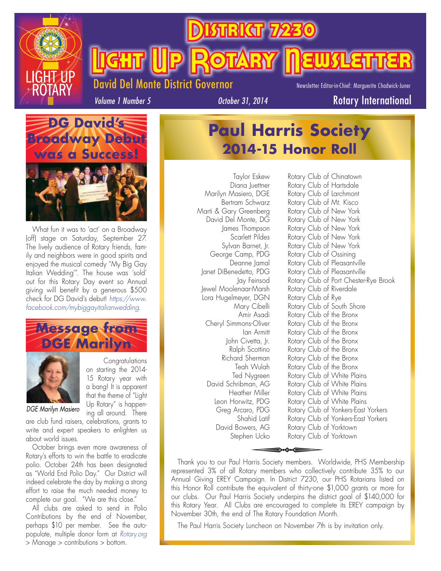

**Bikar Light (Up Rotary Newsletter** 

### Del Monte District Governor

Newsletter Editor-in-Chief: Marguerite Chadwick-Juner

*Volume 1 Number 5*

**Paul Harris Society** 

**2014-15 Honor Roll**





What fun it was to 'act' on a Broadway (off) stage on Saturday, September 27. The lively audience of Rotary friends, family and neighbors were in good spirits and enjoyed the musical comedy "My Big Gay Italian Wedding'". The house was 'sold' out for this Rotary Day event so Annual giving will benefit by a generous \$500 check for DG David's debut! *https://www. facebook.com/mybiggayitalianwedding*.





Congratulations on starting the 2014- 15 Rotary year with a bang! It is apparent that the theme of "Light Up Rotary" is happening all around. There

### *DGE Marilyn Masiero*

are club fund raisers, celebrations, grants to write and expert speakers to enlighten us about world issues.

October brings even more awareness of Rotary's efforts to win the battle to eradicate polio. October 24th has been designated as "World End Polio Day." Our District will indeed celebrate the day by making a strong effort to raise the much needed money to complete our goal. "We are this close."

All clubs are asked to send in Polio Contributions by the end of November, perhaps \$10 per member. See the autopopulate, multiple donor form at *Rotary.org*  > Manage > contributions > bottom.

Lora Hugelmeyer, DGN Rotary Club of Rye

Taylor Eskew Rotary Club of Chinatown Diana Juettner Rotary Club of Hartsdale Marilyn Masiero, DGE Rotary Club of Larchmont Bertram Schwarz Rotary Club of Mt. Kisco Marti & Gary Greenberg Rotary Club of New York David Del Monte, DG Rotary Club of New York James Thompson Rotary Club of New York Scarlett Pildes Rotary Club of New York Sylvan Barnet, Jr. Rotary Club of New York George Camp, PDG Rotary Club of Ossining Deanne Jamal Rotary Club of Pleasantville Janet DiBenedetto, PDG Rotary Club of Pleasantville Jay Feinsod Rotary Club of Port Chester-Rye Brook Jewel Moolenaar-Marsh Rotary Club of Riverdale Mary Cibelli Rotary Club of South Shore Amir Asadi Rotary Club of the Bronx Cheryl Simmons-Oliver Rotary Club of the Bronx Ian Armitt Rotary Club of the Bronx John Civetta, Jr. Rotary Club of the Bronx Ralph Scottino Rotary Club of the Bronx Richard Sherman Rotary Club of the Bronx Teah Wulah Rotary Club of the Bronx Ted Nygreen Rotary Club of White Plains David Schribman, AG Rotary Club of White Plains Heather Miller Rotary Club of White Plains Leon Horwitz, PDG Rotary Club of White Plains Greg Arcaro, PDG Rotary Club of Yonkers-East Yorkers Shahid Latif Rotary Club of Yonkers-East Yorkers David Bowers, AG Rotary Club of Yorktown Stephen Ucko Rotary Club of Yorktown responsible, PDG Rotary Club of Rotary Club of Rotary Club of Rotary Club of Rotary Club of Rotary Club of Rotary Club of Rotary Club of Rotary Club of Rotary Club of Rotary Club of Rotary Club of Rotary Club of Rotary Clu

Thank you to our Paul Harris Society members. Worldwide, PHS Membership represented 3% of all Rotary members who collectively contribute 35% to our Annual Giving EREY Campaign. In District 7230, our PHS Rotarians listed on this Honor Roll contribute the equivalent of thirty-one \$1,000 grants or more for our clubs. Our Paul Harris Society underpins the district goal of \$140,000 for this Rotary Year. All Clubs are encouraged to complete its EREY campaign by November 30th, the end of The Rotary Foundation Month.

The Paul Harris Society Luncheon on November 7th is by invitation only.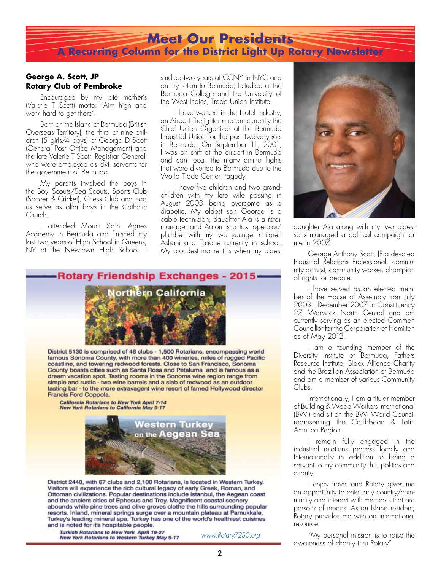### **Meet Our Presidents A Recurring Column for the District Light Up Rotary Newsletter**

#### **George A. Scott, JP Rotary Club of Pembroke**

Encouraged by my late mother's (Valerie T Scott) motto: "Aim high and work hard to get there".

Born on the Island of Bermuda (British Overseas Territory), the third of nine children (5 girls/4 boys) of George D Scott (General Post Office Management) and the late Valerie T Scott (Registrar General) who were employed as civil servants for the government of Bermuda.

My parents involved the boys in the Boy Scouts/Sea Scouts, Sports Club (Soccer & Cricket), Chess Club and had us serve as altar boys in the Catholic Church.

I attended Mount Saint Agnes Academy in Bermuda and finished my last two years of High School in Queens, NY at the Newtown High School. I

studied two years at CCNY in NYC and on my return to Bermuda; I studied at the Bermuda College and the University of the West Indies, Trade Union Institute.

I have worked in the Hotel Industry, an Airport Firefighter and am currently the Chief Union Organizer at the Bermuda Industrial Union for the past twelve years in Bermuda. On September 11, 2001, I was on shift at the airport in Bermuda and can recall the many airline flights that were diverted to Bermuda due to the World Trade Center tragedy.

I have five children and two grandchildren with my late wife passing in August 2003 being overcome as a diabetic. My oldest son George is a cable technician, daughter Aja is a retail manager and Aaron is a taxi operator/ plumber with my two younger children Ashani and Tatiane currently in school. My proudest moment is when my oldest



District 5130 is comprised of 46 clubs - 1,500 Rotarians, encompassing world famous Sonoma County, with more than 400 wineries, miles of rugged Pacific coastline, and towering redwood forests. Close to San Francisco, Sonoma County boasts cities such as Santa Rosa and Petaluma and is famous as a dream vacation spot. Tasting rooms in the Sonoma wine region range from simple and rustic - two wine barrels and a slab of redwood as an outdoor tasting bar - to the more extravagent wine resort of famed Hollywood director Francis Ford Coppola.

California Rotarians to New York April 7-14<br>New York Rotarians to California May 9-17



District 2440, with 67 clubs and 2,100 Rotarians, is located in Western Turkey. Visitors will experience the rich cultural legacy of early Greek, Roman, and Ottoman civilizations. Popular destinations include Istanbul, the Aegean coast and the ancient cities of Ephesus and Troy. Magnificent coastal scenery abounds while pine trees and olive groves clothe the hills surrounding popular resorts. Inland, mineral springs surge over a mountain plateau at Pamukkale, Turkey's leading mineral spa. Turkey has one of the world's healthiest cuisines and is noted for it's hospitable people.

Turkish Rotarians to New York April 19-27<br>New York Rotarians to Western Turkey May 9-17

*www.Rotary7230.org*



daughter Aja along with my two oldest sons managed a political campaign for me in 2007.

George Anthony Scott, JP a devoted Industrial Relations Professional, community activist, community worker, champion of rights for people.

I have served as an elected member of the House of Assembly from July 2003 - December 2007 in Constituency 27, Warwick North Central and am currently serving as an elected Common Councillor for the Corporation of Hamilton as of May 2012.

I am a founding member of the Diversity Institute of Bermuda, Fathers Resource Institute, Black Alliance Charity and the Brazilian Association of Bermuda and am a member of various Community Clubs.

Internationally, I am a titular member of Building & Wood Workers International (BWI) and sit on the BWI World Council representing the Caribbean & Latin America Region.

I remain fully engaged in the industrial relations process locally and Internationally in addition to being a servant to my community thru politics and charity.

I enjoy travel and Rotary gives me an opportunity to enter any country/community and interact with members that are persons of means. As an Island resident, Rotary provides me with an international resource.

"My personal mission is to raise the awareness of charity thru Rotary"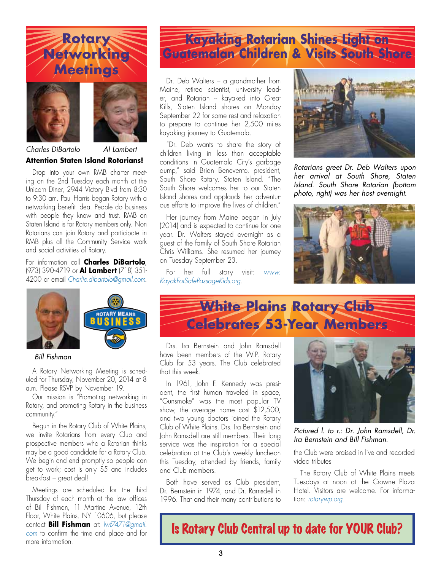





### **Attention Staten Island Rotarians!**  *Charles DiBartolo Al Lambert*

Drop into your own RMB charter meeting on the 2nd Tuesday each month at the Unicorn Diner, 2944 Victory Blvd from 8:30 to 9:30 am. Paul Harris began Rotary with a networking benefit idea. People do business with people they know and trust. RMB on Staten Island is for Rotary members only. Non Rotarians can join Rotary and participate in RMB plus all the Community Service work and social activities of Rotary.

For information call **Charles DiBartolo**, (973) 390-4719 or **Al Lambert** (718) 351- 4200 or email *Charlie.dibartolo@gmail.com*.



#### *Bill Fishman*

A Rotary Networking Meeting is scheduled for Thursday, November 20, 2014 at 8 a.m. Please RSVP by November 19.

Our mission is "Promoting networking in Rotary, and promoting Rotary in the business community."

Begun in the Rotary Club of White Plains, we invite Rotarians from every Club and prospective members who a Rotarian thinks may be a good candidate for a Rotary Club. We begin and end promptly so people can get to work; cost is only \$5 and includes breakfast – great deal!

Meetings are scheduled for the third Thursday of each month at the law offices of Bill Fishman, 11 Martine Avenue, 12th Floor, White Plains, NY 10606, but please contact **Bill Fishman** at: *lwf7471@gmail. com* to confirm the time and place and for more information.

# **Kayaking Rotarian Shines Light on Guatemalan Children & Visits South Shore**

Dr. Deb Walters – a grandmother from Maine, retired scientist, university leader, and Rotarian -- kayaked into Great Kills, Staten Island shores on Monday September 22 for some rest and relaxation to prepare to continue her 2,500 miles kayaking journey to Guatemala.

"Dr. Deb wants to share the story of children living in less than acceptable conditions in Guatemala City's garbage dump," said Brian Benevento, president, South Shore Rotary, Staten Island. "The South Shore welcomes her to our Staten Island shores and applauds her adventurous efforts to improve the lives of children."

Her journey from Maine began in July (2014) and is expected to continue for one year. Dr. Walters stayed overnight as a guest of the family of South Shore Rotarian Chris Williams. She resumed her journey on Tuesday September 23.

For her full story visit: *www. KayakForSafePassageKids.org*.



*Rotarians greet Dr. Deb Walters upon her arrival at South Shore, Staten Island. South Shore Rotarian (bottom photo, right) was her host overnight.*



# White Plains Rotary Club **Celebrates 53-Year Members**

Drs. Ira Bernstein and John Ramsdell have been members of the W.P. Rotary Club for 53 years. The Club celebrated that this week.

In 1961, John F. Kennedy was president, the first human traveled in space, "Gunsmoke" was the most popular TV show, the average home cost \$12,500, and two young doctors joined the Rotary Club of White Plains. Drs. Ira Bernstein and John Ramsdell are still members. Their long service was the inspiration for a special celebration at the Club's weekly luncheon this Tuesday, attended by friends, family and Club members.

Both have served as Club president, Dr. Bernstein in 1974, and Dr. Ramsdell in 1996. That and their many contributions to



*Pictured l. to r.: Dr. John Ramsdell, Dr. Ira Bernstein and Bill Fishman.*

the Club were praised in live and recorded video tributes

The Rotary Club of White Plains meets Tuesdays at noon at the Crowne Plaza Hotel. Visitors are welcome. For information: *rotarywp.org*.

Is Rotary Club Central up to date for YOUR Club?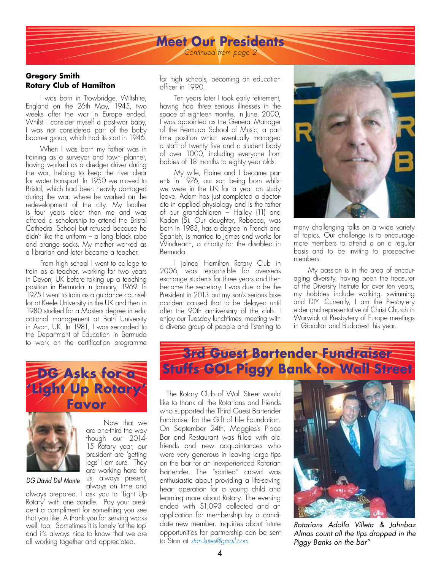### **Meet Our Presidents** *Continued from page 2*

#### **Gregory Smith Rotary Club of Hamilton**

I was born in Trowbridge, Wiltshire, England on the 26th May, 1945, two weeks after the war in Europe ended. Whilst I consider myself a post-war baby, I was not considered part of the baby boomer group, which had its start in 1946.

When I was born my father was in training as a surveyor and town planner, having worked as a dredger driver during the war, helping to keep the river clear for water transport. In 1950 we moved to Bristol, which had been heavily damaged during the war, where he worked on the redevelopment of the city. My brother is four years older than me and was offered a scholarship to attend the Bristol Cathedral School but refused because he didn't like the uniform – a long black robe and orange socks. My mother worked as a librarian and later became a teacher.

From high school I went to college to train as a teacher, working for two years in Devon, UK before taking up a teaching position in Bermuda in January, 1969. In 1975 I went to train as a guidance counsellor at Keele University in the UK and then in 1980 studied for a Masters degree in educational management at Bath University in Avon, UK. In 1981, I was seconded to the Department of Education in Bermuda to work on the certification programme





Now that we are one-third the way though our 2014- 15 Rotary year, our president are 'getting legs' I am sure. They are working hard for us, always present,

#### *DG David Del Monte*

always on time and always prepared. I ask you to 'Light Up Rotary' with one candle. Pay your president a compliment for something you see that you like. A thank you for serving works well, too. Sometimes it is lonely 'at the top' and it's always nice to know that we are all working together and appreciated.

for high schools, becoming an education officer in 1990.

Ten years later I took early retirement, having had three serious illnesses in the space of eighteen months. In June, 2000, I was appointed as the General Manager of the Bermuda School of Music, a part time position which eventually managed a staff of twenty five and a student body of over 1000, including everyone from babies of 18 months to eighty year olds.

My wife, Elaine and I became parents in 1976, our son being born whilst we were in the UK for a year on study leave. Adam has just completed a doctorate in applied physiology and is the father of our grandchildren – Hailey (11) and Kaden (5). Our daughter, Rebecca, was born in 1983, has a degree in French and Spanish, is married to James and works for Windreach, a charity for the disabled in Bermuda.

I joined Hamilton Rotary Club in 2006, was responsible for overseas exchange students for three years and then became the secretary. I was due to be the President in 2013 but my son's serious bike accident caused that to be delayed until after the 90th anniversary of the club. I enjoy our Tuesday lunchtimes, meeting with a diverse group of people and listening to



many challenging talks on a wide variety of topics. Our challenge is to encourage more members to attend a on a regular basis and to be inviting to prospective members.

My passion is in the area of encouraging diversity, having been the treasurer of the Diversity Institute for over ten years, my hobbies include walking, swimming and DIY. Currently, I am the Presbytery elder and representative of Christ Church in Warwick at Presbytery of Europe meetings in Gibraltar and Budapest this year.

## **3rd Guest Bartender Fundraiser Stuffs GOL Piggy Bank for Wall Street**

The Rotary Club of Wall Street would like to thank all the Rotarians and friends who supported the Third Guest Bartender Fundraiser for the Gift of Life Foundation. On September 24th, Maggies's Place Bar and Restaurant was filled with old friends and new acquaintances who were very generous in leaving large tips on the bar for an inexperienced Rotarian bartender. The "spirited" crowd was enthusiastic about providing a life-saving heart operation for a young child and learning more about Rotary. The evening ended with \$1,093 collected and an application for membership by a candidate new member. Inquiries about future opportunities for partnership can be sent to Stan at *stan.kules@gmail.com*.



*Rotarians Adolfo Villeta & Jahnbaz Almas count all the tips dropped in the Piggy Banks on the bar"*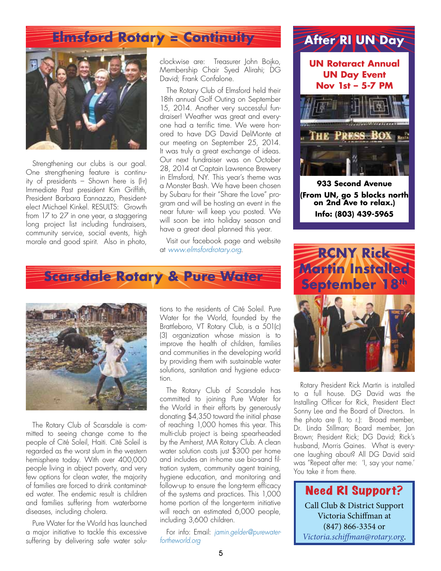## **Elmsford Rotary = Continuity**



Strengthening our clubs is our goal. One strengthening feature is continuity of presidents – Shown here is (l-r) Immediate Past president Kim Griffith, President Barbara Eannazzo, Presidentelect Michael Kinkel. RESULTS: Growth from 17 to 27 in one year, a staggering long project list including fundraisers, community service, social events, high morale and good spirit. Also in photo,

clockwise are: Treasurer John Bojko, Membership Chair Syed Alirahi; DG David; Frank Confalone.

The Rotary Club of Elmsford held their 18th annual Golf Outing on September 15, 2014. Another very successful fundraiser! Weather was great and everyone had a terrific time. We were honored to have DG David DelMonte at our meeting on September 25, 2014. It was truly a great exchange of ideas. Our next fundraiser was on October 28, 2014 at Captain Lawrence Brewery in Elmsford, NY. This year's theme was a Monster Bash. We have been chosen by Subaru for their "Share the Love" program and will be hosting an event in the near future- will keep you posted. We will soon be into holiday season and have a great deal planned this year.

Visit our facebook page and website at *www.elmsfordrotary.org*.

### **Scarsdale Rotary & Pure Water**



The Rotary Club of Scarsdale is committed to seeing change come to the people of Cité Soleil, Haiti. Cité Soleil is regarded as the worst slum in the western hemisphere today. With over 400,000 people living in abject poverty, and very few options for clean water, the majority of families are forced to drink contaminated water. The endemic result is children and families suffering from waterborne diseases, including cholera.

Pure Water for the World has launched a major initiative to tackle this excessive suffering by delivering safe water solu-

tions to the residents of Cité Soleil. Pure Water for the World, founded by the Brattleboro, VT Rotary Club, is a 501(c) (3) organization whose mission is to improve the health of children, families and communities in the developing world by providing them with sustainable water solutions, sanitation and hygiene education.

The Rotary Club of Scarsdale has committed to joining Pure Water for the World in their efforts by generously donating \$4,350 toward the initial phase of reaching 1,000 homes this year. This multi-club project is being spearheaded by the Amherst, MA Rotary Club. A clean water solution costs just \$300 per home and includes an in-home use bio-sand filtration system, community agent training, hygiene education, and monitoring and follow-up to ensure the long-term efficacy of the systems and practices. This 1,000 home portion of the longer-term initiative will reach an estimated 6,000 people, including 3,600 children.

For info: Email: *jamin.gelder@purewaterfortheworld.org*

## **After RI UN Day**

**UN Rotaract Annual UN Day Event Nov 1st – 5-7 PM**



**933 Second Avenue (From UN, go 5 blocks north on 2nd Ave to relax.) Info: (803) 439-5965**



Rotary President Rick Martin is installed to a full house. DG David was the Installing Officer for Rick, President Elect Sonny Lee and the Board of Directors. In the photo are (l. to r.): Broad member, Dr. Linda Stillman; Board member, Jan Brown; President Rick; DG David; Rick's husband, Morris Gaines. What is everyone laughing about? All DG David said was "Repeat after me: 'I, say your name.' You take it from there.

Need RI Support? Call Club & District Support Victoria Schiffman at (847) 866-3354 or *Victoria.schiffman@rotary.org*.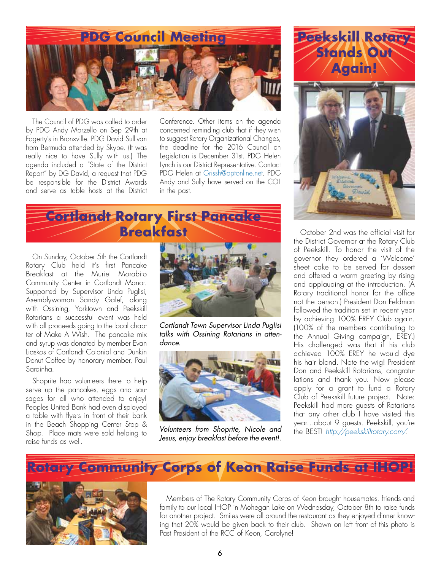

The Council of PDG was called to order by PDG Andy Morzello on Sep 29th at Fogerty's in Bronxville. PDG David Sullivan from Bermuda attended by Skype. (It was really nice to have Sully with us.) The agenda included a "State of the District Report" by DG David, a request that PDG be responsible for the District Awards and serve as table hosts at the District

Conference. Other items on the agenda concerned reminding club that if they wish to suggest Rotary Organizational Changes, the deadline for the 2016 Council on Legislation is December 31st. PDG Helen Lynch is our District Representative. Contact PDG Helen at Grissh@optonline.net. PDG Andy and Sully have served on the COL in the past.



On Sunday, October 5th the Cortlandt Rotary Club held it's first Pancake Breakfast at the Muriel Morabito Community Center in Cortlandt Manor. Supported by Supervisor Linda Puglisi, Asemblywoman Sandy Galef, along with Ossining, Yorktown and Peekskill Rotarians a successful event was held with all proceeds going to the local chapter of Make A Wish. The pancake mix and syrup was donated by member Evan Liaskos of Cortlandt Colonial and Dunkin Donut Coffee by honorary member, Paul Sardinha.

Shoprite had volunteers there to help serve up the pancakes, eggs and sausages for all who attended to enjoy! Peoples United Bank had even displayed a table with flyers in front of their bank in the Beach Shopping Center Stop & Shop. Place mats were sold helping to raise funds as well.



*Cortlandt Town Supervisor Linda Puglisi talks with Ossining Rotarians in attendance.*



*Volunteers from Shoprite, Nicole and Jesus, enjoy breakfast before the event!.*



October 2nd was the official visit for the District Governor at the Rotary Club of Peekskill. To honor the visit of the governor they ordered a 'Welcome' sheet cake to be served for dessert and offered a warm greeting by rising and applauding at the introduction. (A Rotary traditional honor for the office not the person.) President Don Feldman followed the tradition set in recent year by achieving 100% EREY Club again. (100% of the members contributing to the Annual Giving campaign, EREY.) His challenged was that if his club achieved 100% EREY he would dye his hair blond. Note the wig! President Don and Peekskill Rotarians, congratulations and thank you. Now please apply for a grant to fund a Rotary Club of Peekskill future project. Note: Peekskill had more guests of Rotarians that any other club I have visited this year…about 9 guests. Peekskill, you're the BEST! *http://peekskillrotary.com/*.

## **Rotary Community Corps of Keon Raise Funds at IHOP!**



Members of The Rotary Community Corps of Keon brought housemates, friends and family to our local IHOP in Mohegan Lake on Wednesday, October 8th to raise funds for another project. Smiles were all around the restaurant as they enjoyed dinner knowing that 20% would be given back to their club. Shown on left front of this photo is Past President of the RCC of Keon, Carolyne!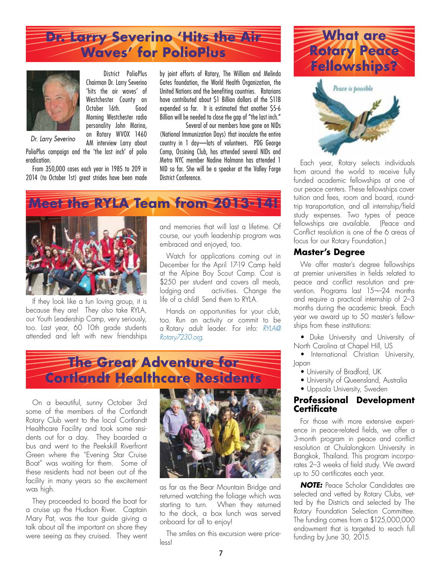

District PolioPlus Chairman Dr. Larry Severino 'hits the air waves' of Westchester County on October 16th. Good Morning Westchester radio personality John Marino, on Rotary WVOX 1460 AM interview Larry about



*Dr. Larry Severino*

PolioPlus campaign and the 'the last inch' of polio eradication.

From 350,000 cases each year in 1985 to 209 in 2014 (to October 1st) great strides have been made

by joint efforts of Rotary, The William and Melinda Gates foundation, the World Health Organization, the United Nations and the benefiting countries. Rotarians have contributed about \$1 Billion dollars of the \$11B expended so far. It is estimated that another \$5-6 Billion will be needed to close the gap of "the last inch."

 Several of our members have gone on NIDs (National Immunization Days) that inoculate the entire country in 1 day—lots of volunteers. PDG George Camp, Ossining Club, has attended several NIDs and Metro NYC member Nadine Holmann has attended 1 NID so far. She will be a speaker at the Valley Forge District Conference.





If they look like a fun loving group, it is because they are! They also take RYLA, our Youth Leadership Camp, very seriously, too. Last year, 60 10th grade students attended and left with new friendships and memories that will last a lifetime. Of course, our youth leadership program was embraced and enjoyed, too.

Watch for applications coming out in December for the April 17-19 Camp held at the Alpine Boy Scout Camp. Cost is \$250 per student and covers all meals, lodging and activities. Change the life of a child! Send them to RYLA.

Hands on opportunities for your club, too. Run an activity or commit to be a Rotary adult leader. For info: *RYLA@ Rotary7230.org*.

## **The Great Adventure for Cortlandt Healthcare Residents**

On a beautiful, sunny October 3rd some of the members of the Cortlandt Rotary Club went to the local Cortlandt Healthcare Facility and took some residents out for a day. They boarded a bus and went to the Peekskill Riverfront Green where the "Evening Star Cruise Boat" was waiting for them. Some of these residents had not been out of the facility in many years so the excitement was high.

They proceeded to board the boat for a cruise up the Hudson River. Captain Mary Pat, was the tour guide giving a talk about all the important on shore they were seeing as they cruised. They went



as far as the Bear Mountain Bridge and returned watching the foliage which was starting to turn. When they returned to the dock, a box lunch was served onboard for all to enjoy!

The smiles on this excursion were priceless!





Each year, Rotary selects individuals from around the world to receive fully funded academic fellowships at one of our peace centers. These fellowships cover tuition and fees, room and board, roundtrip transportation, and all internship/field study expenses. Two types of peace fellowships are available. (Peace and Conflict resolution is one of the 6 areas of focus for our Rotary Foundation.)

#### **Master's Degree**

We offer master's degree fellowships at premier universities in fields related to peace and conflict resolution and prevention. Programs last 15¬–24 months and require a practical internship of 2–3 months during the academic break. Each year we award up to 50 master's fellowships from these institutions:

 • Duke University and University of North Carolina at Chapel Hill, US

• International Christian University, Japan

- University of Bradford, UK
- University of Queensland, Australia
- Uppsala University, Sweden

#### **Professional Development Certificate**

For those with more extensive experience in peace-related fields, we offer a 3-month program in peace and conflict resolution at Chulalongkorn University in Bangkok, Thailand. This program incorporates 2–3 weeks of field study. We award up to 50 certificates each year.

*NOTE:* Peace Scholar Candidates are selected and vetted by Rotary Clubs, vetted by the Districts and selected by The Rotary Foundation Selection Committee. The funding comes from a \$125,000,000 endowment that is targeted to reach full funding by June 30, 2015.